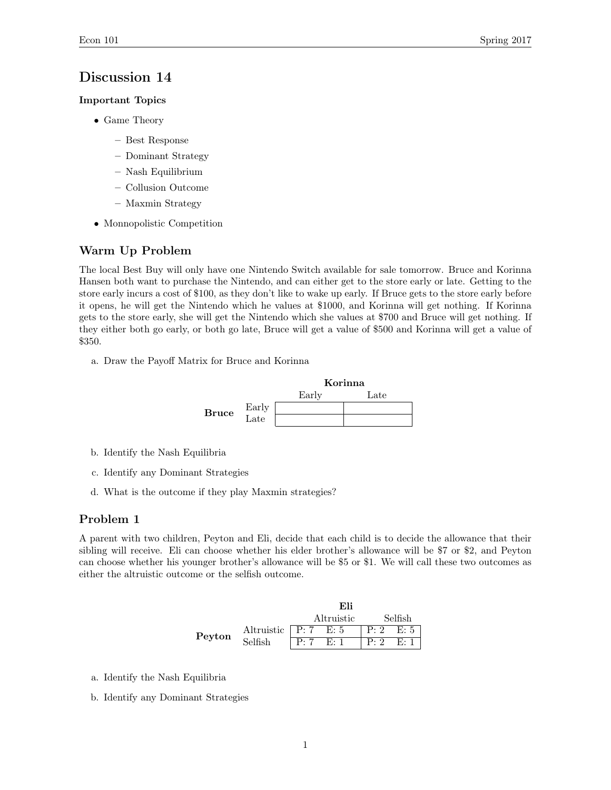### Discussion 14

#### Important Topics

- Game Theory
	- Best Response
	- Dominant Strategy
	- Nash Equilibrium
	- Collusion Outcome
	- Maxmin Strategy
- Monnopolistic Competition

### Warm Up Problem

The local Best Buy will only have one Nintendo Switch available for sale tomorrow. Bruce and Korinna Hansen both want to purchase the Nintendo, and can either get to the store early or late. Getting to the store early incurs a cost of \$100, as they don't like to wake up early. If Bruce gets to the store early before it opens, he will get the Nintendo which he values at \$1000, and Korinna will get nothing. If Korinna gets to the store early, she will get the Nintendo which she values at \$700 and Bruce will get nothing. If they either both go early, or both go late, Bruce will get a value of \$500 and Korinna will get a value of \$350.

a. Draw the Payoff Matrix for Bruce and Korinna



- b. Identify the Nash Equilibria
- c. Identify any Dominant Strategies
- d. What is the outcome if they play Maxmin strategies?

### Problem 1

A parent with two children, Peyton and Eli, decide that each child is to decide the allowance that their sibling will receive. Eli can choose whether his elder brother's allowance will be \$7 or \$2, and Peyton can choose whether his younger brother's allowance will be \$5 or \$1. We will call these two outcomes as either the altruistic outcome or the selfish outcome.

|        |                                     | Eli        |  |                |  |
|--------|-------------------------------------|------------|--|----------------|--|
|        |                                     | Altruistic |  | Selfish        |  |
| Peyton | Altruistic $\sqrt{P: 7 \quad E: 5}$ |            |  | $P: 2 \t E: 5$ |  |
|        | Selfish                             | P: 7 E: 1  |  | $P: 2 \t E: 1$ |  |

- a. Identify the Nash Equilibria
- b. Identify any Dominant Strategies